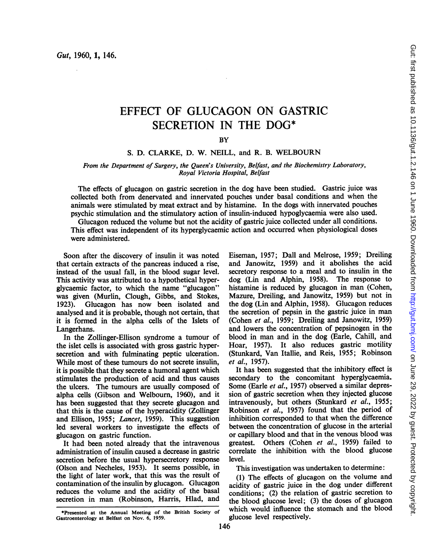# EFFECT OF GLUCAGON ON GASTRIC SECRETION IN THE DOG\*

**BY** 

# S. D. CLARKE, D. W. NEILL, and R. B. WELBOURN

### From the Department of Surgery, the Queen's University, Belfast, and the Biochemistry Laboratory, Royal Victoria Hospital, Belfast

The effects of glucagon on gastric secretion in the dog have been studied. Gastric juice was collected both from denervated and innervated pouches under basal conditions and when the animals were stimulated by meat extract and by histamine. In the dogs with innervated pouches psychic stimulation and the stimulatory action of insulin-induced hypoglycaemia were also used.

Glucagon reduced the volume but not the acidity of gastric juice collected under all conditions. This effect was independent of its hyperglycaemic action and occurred when physiological doses were administered.

Soon after the discovery of insulin it was noted that certain extracts of the pancreas induced a rise, instead of the usual fall, in the blood sugar level. This activity was attributed to a hypothetical hyperglycaemic factor, to which the name "glucagon" was given (Murlin, Clough, Gibbs, and Stokes, 1923). Glucagon has now been isolated and analysed and it is probable, though not certain, that it is formed in the alpha cells of the Islets of Langerhans.

In the Zollinger-Ellison syndrome a tumour of the islet cells is associated with gross gastric hypersecretion and with fulminating peptic ulceration. While most of these tumours do not secrete insulin, it is possible that they secrete a humoral agent which stimulates the production of acid and thus causes the ulcers. The tumours are usually composed of alpha cells (Gibson and Welboum, 1960), and it has been suggested that they secrete glucagon and that this is the cause of the hyperacidity (Zollinger and Ellison, 1955; Lancet, 1959). This suggestion led several workers to investigate the effects of glucagon on gastric function.

It had been noted already that the intravenous administration of insulin caused a decrease in gastric secretion before the usual hypersecretory response (Olson and Necheles, 1953). It seems possible, in the light of later work, that this was the result of contamination of the insulin by glucagon. Glucagon reduces the volume and the acidity of the basal secretion in man (Robinson, Harris, Hlad, and Eiseman, 1957; Dall and Melrose, 1959; Dreiling and Janowitz, 1959) and it abolishes the acid secretory response to a meal and to insulin in the dog (Lin and Alphin, 1958). The response to histamine is reduced by glucagon in man (Cohen, Mazure, Dreiling, and Janowitz, 1959) but not in the dog (Lin and Alphin, 1958). Glucagon reduces the secretion of pepsin in the gastric juice in man (Cohen et al., 1959; Dreiling and Janowitz, 1959) and lowers the concentration of pepsinogen in the blood in man and in the dog (Earle, Cahill, and Hoar, 1957). It also reduces gastric motility (Stunkard, Van Itallie, and Reis, 1955; Robinson et al., 1957).

It has been suggested that the inhibitory effect is secondary to the concomitant hyperglycaemia. Some (Earle et al., 1957) observed a similar depression of gastric secretion when they injected glucose intravenously, but others (Stunkard et al., 1955; Robinson et al., 1957) found that the period of inhibition corresponded to that when the difference between the concentration of glucose in the arterial or capillary blood and that in the venous blood was greatest. Others (Cohen et al., 1959) failed to correlate the inhibition with the blood glucose level.

This investigation was undertaken to determine:

(1) The effects of glucagon on the volume and acidity of gastric juice in the dog under different conditions; (2) the relation of gastric secretion to the blood glucose level; (3) the doses of glucagon which would influence the stomach and the blood glucose level respectively.

<sup>\*</sup>Presented at the Annual Meeting of the British Society of Gastroenterology at Belfast on Nov. 6, 1959.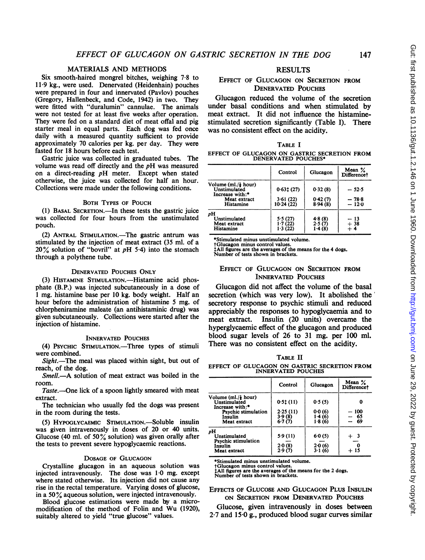# MATERIALS AND METHODS

Six smooth-haired mongrel bitches, weighing 7.8 to 119 kg., were used. Denervated (Heidenhain) pouches were prepared in four and innervated (Pavlov) pouches (Gregory, Hallenbeck, and Code, 1942) in two. They were fitted with "duralumin" cannulae. The animals were not tested for at least five weeks after operation. They were fed on a standard diet of meat offal and pig starter meal in equal parts. Each dog was fed once daily with a measured quantity sufficient to provide approximately 70 calories per kg. per day. They were fasted for 18 hours before each test.

Gastric juice was collected in graduated tubes. The volume was read off directly and the pH was measured on <sup>a</sup> direct-reading pH meter. Except when stated otherwise, the juice was collected for half an hour. Collections were made under the following conditions.

# BOTH TYPES OF POUCH

(1) BASAL SECRETION.-In these tests the gastric juice was collected for four hours from the unstimulated pouch.

(2) ANTRAL STIMULATION.—The gastric antrum was stimulated by the injection of meat extract (35 ml. of a  $20\%$  solution of "bovril" at pH 5.4) into the stomach through a polythene tube.

### DENERVATED POUCHES ONLY

(3) HISTAMINE STIMULATION.—Histamine acid phosphate (B.P.) was injected subcutaneously in a dose of <sup>1</sup> mg. histamine base per 10 kg. body weight. Half an hour before the administration of histamine 5 mg. of chlorpheniramine maleate (an antihistaminic drug) was given subcutaneously. Collections were started after the injection of histamine.

### INNERVATED POUCHES

(4) PSYCHIC STIMULATION.—Three types of stimuli were combined.

Sight.—The meal was placed within sight, but out of reach, of the dog.

Smell.-A solution of meat extract was boiled in the room.

Taste.--One lick of a spoon lightly smeared with meat extract.

The technician who usually fed the dogs was present in the room during the tests.

(5) HYPOGLYCAEMIC STmuLATION.-Soluble insulin was given intravenously in doses of 20 or 40 units. Glucose (40 ml. of 50 $\frac{9}{6}$  solution) was given orally after the tests to prevent severe hypoglycaemic reactions.

### DOSAGE OF GLUCAGON

Crystalline glucagon in an aqueous solution was The dose was  $1.0$  mg. except where stated otherwise. Its injection did not cause any rise in the rectal temperature. Varying doses of glucose, in a  $50\%$  aqueous solution, were injected intravenously.

Blood glucose estimations were made by a micromodification of the method of Folin and Wu (1920), suitably altered to yield "true glucose" values.

# RESULTS

# EFFECT OF GLUCAGON ON SECRETION FROM DENERVATED POUCHES

Glucagon reduced the volume of the secretion under basal conditions and when stimulated by meat extract. It did not influence the histaminestimulated secretion significantly (Table I). There was no consistent effect on the acidity.

|--|

#### EFFECT OF GLUCAGON ON GASTRIC SECRETION FROM DENERVATED POUCHES\*

|                                                                            | Control                       | Glucagon                   | Mean $%$<br>Difference <sup>†</sup> |
|----------------------------------------------------------------------------|-------------------------------|----------------------------|-------------------------------------|
| Volume $(ml, \frac{1}{2} \text{ hour})$<br>Unstimulated<br>Increase with:* | 0.631(27)                     | 0.32(8)                    | $-52.5$                             |
| Meat extract<br>Histamine                                                  | 3.61(22)<br>10.24(22)         | 0.42(7)<br>8.94(8)         | $-78.8$<br>$-12.0$                  |
| pH<br>Unstimulated<br>Meat extract<br>Histamine                            | 5.5(27)<br>1.7(22)<br>1.3(22) | 4.8(8)<br>2.5(7)<br>1.4(8) | - 13<br>$+38$<br>$+4$               |

\*Stimulated minus unstimulated volume.

tGlucagon minus control values. tAll figures are the averages of the means for the 4 dogs. Number of tests shown in brackets.

# EFFECT OF GLUCAGON ON SECRETION FROM INNERVATED POUCHES

Glucagon did not affect the volume of the basal secretion (which was very low). It abolished the' secretory response to psychic stimuli and reduced appreciably the responses to hypoglycaemia and to meat extract. Insulin (20 units) overcame the hyperglycaemic effect of the glucagon and produced blood sugar levels of 26 to 31 mg. per 100 ml. There was no consistent effect on the acidity.

### TABLE II

EFFECT OF GLUCAGON ON GASTRIC SECRETION FROM INNERVATED POUCHES

|                                                        | Control                        | Glucagon                   | Mean $%$<br>Difference† |
|--------------------------------------------------------|--------------------------------|----------------------------|-------------------------|
| Volume $(m!/$ hour)<br>Unstimulated<br>Increase with:* | 0.51(11)                       | 0.5(5)                     | 0                       |
| Psychic stimulation<br>Insulin<br>Meat extract         | 2.25(11)<br>$3.9(8)$<br>6.7(7) | 0.0(6)<br>1.4(6)<br>1.8(6) | $-100$<br>$-65$<br>69   |
| рH<br>Unstimulated<br>Psychic stimulation              | 5.9(11)                        | 6.0(5)                     | $+3$                    |
| Insulin<br>Meat extract                                | $2.0(8)$<br>$2.9(7)$           | 2.0(6)<br>3.1(6)           | + 15                    |

\*Stimulated minus unstimulated volume.

tGlucagon minus control values. All figures are the averages of the means for the 2 dogs.

Number of tests shown in brackets.

# EFFECTS OF GLUCOSE AND GLUCAGON PLUS INSULIN ON SECRETION FROM DENERVATED POUCHES

Glucose, given intravenously in doses between 2.7 and 15.0 g., produced blood sugar curves similar